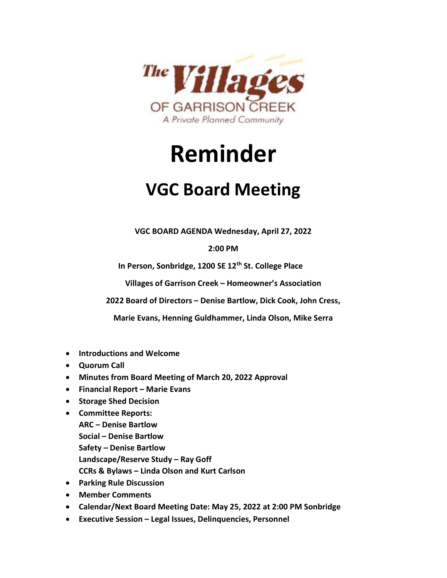

## Reminder

## VGC Board Meeting

VGC BOARD AGENDA Wednesday, April 27, 2022

2:00 PM

In Person, Sonbridge, 1200 SE 12<sup>th</sup> St. College Place

Villages of Garrison Creek – Homeowner's Association

2022 Board of Directors – Denise Bartlow, Dick Cook, John Cress,

Marie Evans, Henning Guldhammer, Linda Olson, Mike Serra

- Introductions and Welcome
- Quorum Call
- Minutes from Board Meeting of March 20, 2022 Approval
- Financial Report Marie Evans
- **•** Storage Shed Decision
- Committee Reports: ARC – Denise Bartlow Social – Denise Bartlow Safety – Denise Bartlow Landscape/Reserve Study – Ray Goff
	- CCRs & Bylaws Linda Olson and Kurt Carlson
- Parking Rule Discussion
- Member Comments
- Calendar/Next Board Meeting Date: May 25, 2022 at 2:00 PM Sonbridge
- Executive Session Legal Issues, Delinquencies, Personnel